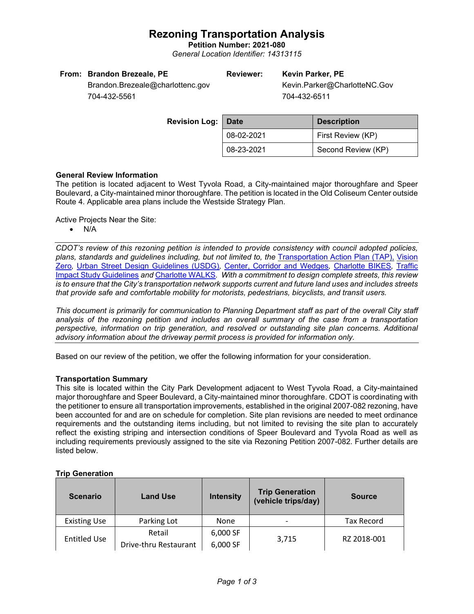# **Rezoning Transportation Analysis**

**Petition Number: 2021-080** *General Location Identifier: 14313115*

| From: Brandon Brezeale, PE       | Reviewer: | Kevin Parker, PE             |  |  |
|----------------------------------|-----------|------------------------------|--|--|
| Brandon.Brezeale@charlottenc.gov |           | Kevin.Parker@CharlotteNC.Gov |  |  |

704-432-5561

704-432-6511

| <b>Revision Log:</b> | <b>Date</b> | <b>Description</b> |
|----------------------|-------------|--------------------|
|                      | 08-02-2021  | First Review (KP)  |
|                      | 08-23-2021  | Second Review (KP) |

## **General Review Information**

The petition is located adjacent to West Tyvola Road, a City-maintained major thoroughfare and Speer Boulevard, a City-maintained minor thoroughfare. The petition is located in the Old Coliseum Center outside Route 4. Applicable area plans include the Westside Strategy Plan.

Active Projects Near the Site:

• N/A

*CDOT's review of this rezoning petition is intended to provide consistency with council adopted policies, plans, standards and guidelines including, but not limited to, the* [Transportation Action Plan \(TAP\),](https://charlottenc.gov/Transportation/Programs/Pages/TransportationActionPlan.aspx) [Vision](https://charlottenc.gov/VisionZero/Pages/VisionZero.aspx)  [Zero](https://charlottenc.gov/VisionZero/Pages/VisionZero.aspx)*,* [Urban Street Design Guidelines \(USDG\)](https://charlottenc.gov/Transportation/PlansProjects/Documents/USDG%20Full%20Document.pdf)*,* [Center, Corridor and](http://ww.charmeck.org/Planning/Land%20Use%20Planning/CentersCorridorsWedges/CentersCorridorsWedges(Adopted).pdf) Wedges*,* [Charlotte BIKES](https://charlottenc.gov/Transportation/Programs/Pages/Bicycle.aspx)*,* [Traffic](https://charlottenc.gov/Transportation/Permits/Documents/TISProcessandGuildlines.pdf)  [Impact Study Guidelines](https://charlottenc.gov/Transportation/Permits/Documents/TISProcessandGuildlines.pdf) *and* [Charlotte WALKS](https://charlottenc.gov/Transportation/Programs/Pages/CharlotteWalks.aspx)*. With a commitment to design complete streets, this review is to ensure that the City's transportation network supports current and future land uses and includes streets that provide safe and comfortable mobility for motorists, pedestrians, bicyclists, and transit users.*

*This document is primarily for communication to Planning Department staff as part of the overall City staff analysis of the rezoning petition and includes an overall summary of the case from a transportation perspective, information on trip generation, and resolved or outstanding site plan concerns. Additional advisory information about the driveway permit process is provided for information only.*

Based on our review of the petition, we offer the following information for your consideration.

## **Transportation Summary**

This site is located within the City Park Development adjacent to West Tyvola Road, a City-maintained major thoroughfare and Speer Boulevard, a City-maintained minor thoroughfare. CDOT is coordinating with the petitioner to ensure all transportation improvements, established in the original 2007-082 rezoning, have been accounted for and are on schedule for completion. Site plan revisions are needed to meet ordinance requirements and the outstanding items including, but not limited to revising the site plan to accurately reflect the existing striping and intersection conditions of Speer Boulevard and Tyvola Road as well as including requirements previously assigned to the site via Rezoning Petition 2007-082. Further details are listed below.

## **Trip Generation**

| <b>Scenario</b>     | <b>Land Use</b>       | <b>Intensity</b> | <b>Trip Generation</b><br>(vehicle trips/day) | <b>Source</b>     |  |
|---------------------|-----------------------|------------------|-----------------------------------------------|-------------------|--|
| <b>Existing Use</b> | Parking Lot           | None             |                                               | <b>Tax Record</b> |  |
|                     | Retail                | 6,000 SF         |                                               | RZ 2018-001       |  |
| <b>Entitled Use</b> | Drive-thru Restaurant | 6,000 SF         | 3.715                                         |                   |  |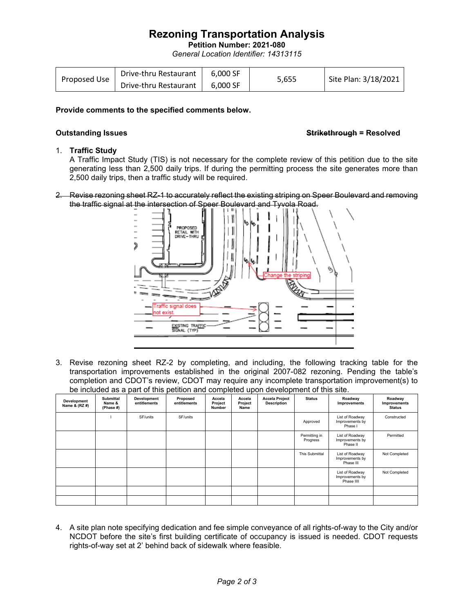# **Rezoning Transportation Analysis**

**Petition Number: 2021-080**

*General Location Identifier: 14313115*

| Proposed Use | Drive-thru Restaurant | 6.000 SF |       |                      |
|--------------|-----------------------|----------|-------|----------------------|
|              | Drive-thru Restaurant | 6.000 SF | 5.655 | Site Plan: 3/18/2021 |

### **Provide comments to the specified comments below.**

### **Outstanding Issues Strikethrough = Resolved**

### 1. **Traffic Study**

A Traffic Impact Study (TIS) is not necessary for the complete review of this petition due to the site generating less than 2,500 daily trips. If during the permitting process the site generates more than 2,500 daily trips, then a traffic study will be required.

2. Revise rezoning sheet RZ-1 to accurately reflect the existing striping on Speer Boulevard and removing the traffic signal at the intersection of Speer Boulevard and Tyvola Road.



3. Revise rezoning sheet RZ-2 by completing, and including, the following tracking table for the transportation improvements established in the original 2007-082 rezoning. Pending the table's completion and CDOT's review, CDOT may require any incomplete transportation improvement(s) to be included as a part of this petition and completed upon development of this site.

| Development<br>Name & (RZ #) | <b>Submittal</b><br>Name &<br>(Phase #) | Development<br>entitlements | Proposed<br>entitlements | Accela<br>Project<br>Number | Accela<br>Project<br>Name | <b>Accela Project</b><br><b>Description</b> | <b>Status</b>             | Roadway<br>Improvements                          | Roadway<br>Improvements<br><b>Status</b> |
|------------------------------|-----------------------------------------|-----------------------------|--------------------------|-----------------------------|---------------------------|---------------------------------------------|---------------------------|--------------------------------------------------|------------------------------------------|
|                              |                                         | SF/units                    | SF/units                 |                             |                           |                                             | Approved                  | List of Roadway<br>Improvements by<br>Phase I    | Constructed                              |
|                              |                                         |                             |                          |                             |                           |                                             | Permitting in<br>Progress | List of Roadway<br>Improvements by<br>Phase II   | Permitted                                |
|                              |                                         |                             |                          |                             |                           |                                             | This Submittal            | List of Roadway<br>Improvements by<br>Phase III  | Not Completed                            |
|                              |                                         |                             |                          |                             |                           |                                             |                           | List of Roadway<br>Improvements by<br>Phase IIII | Not Completed                            |
|                              |                                         |                             |                          |                             |                           |                                             |                           |                                                  |                                          |
|                              |                                         |                             |                          |                             |                           |                                             |                           |                                                  |                                          |

4. A site plan note specifying dedication and fee simple conveyance of all rights-of-way to the City and/or NCDOT before the site's first building certificate of occupancy is issued is needed. CDOT requests rights-of-way set at 2' behind back of sidewalk where feasible.